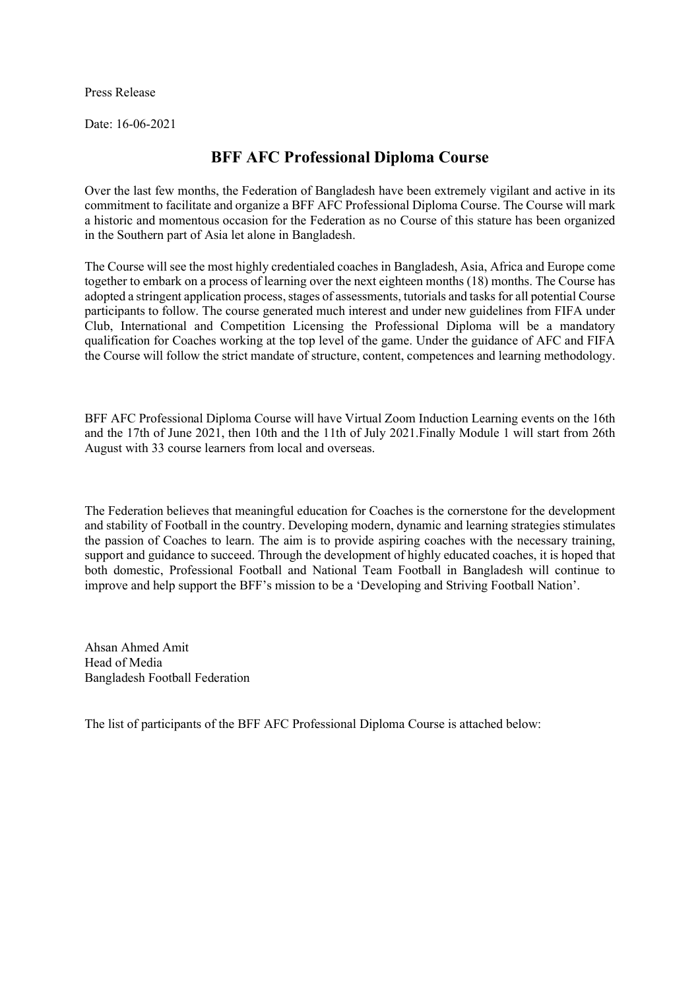Press Release

Date: 16-06-2021

## BFF AFC Professional Diploma Course

Over the last few months, the Federation of Bangladesh have been extremely vigilant and active in its commitment to facilitate and organize a BFF AFC Professional Diploma Course. The Course will mark a historic and momentous occasion for the Federation as no Course of this stature has been organized in the Southern part of Asia let alone in Bangladesh.

The Course will see the most highly credentialed coaches in Bangladesh, Asia, Africa and Europe come together to embark on a process of learning over the next eighteen months (18) months. The Course has adopted a stringent application process, stages of assessments, tutorials and tasks for all potential Course participants to follow. The course generated much interest and under new guidelines from FIFA under Club, International and Competition Licensing the Professional Diploma will be a mandatory qualification for Coaches working at the top level of the game. Under the guidance of AFC and FIFA the Course will follow the strict mandate of structure, content, competences and learning methodology.

BFF AFC Professional Diploma Course will have Virtual Zoom Induction Learning events on the 16th and the 17th of June 2021, then 10th and the 11th of July 2021.Finally Module 1 will start from 26th August with 33 course learners from local and overseas.

The Federation believes that meaningful education for Coaches is the cornerstone for the development and stability of Football in the country. Developing modern, dynamic and learning strategies stimulates the passion of Coaches to learn. The aim is to provide aspiring coaches with the necessary training, support and guidance to succeed. Through the development of highly educated coaches, it is hoped that both domestic, Professional Football and National Team Football in Bangladesh will continue to improve and help support the BFF's mission to be a 'Developing and Striving Football Nation'.

Ahsan Ahmed Amit Head of Media Bangladesh Football Federation

The list of participants of the BFF AFC Professional Diploma Course is attached below: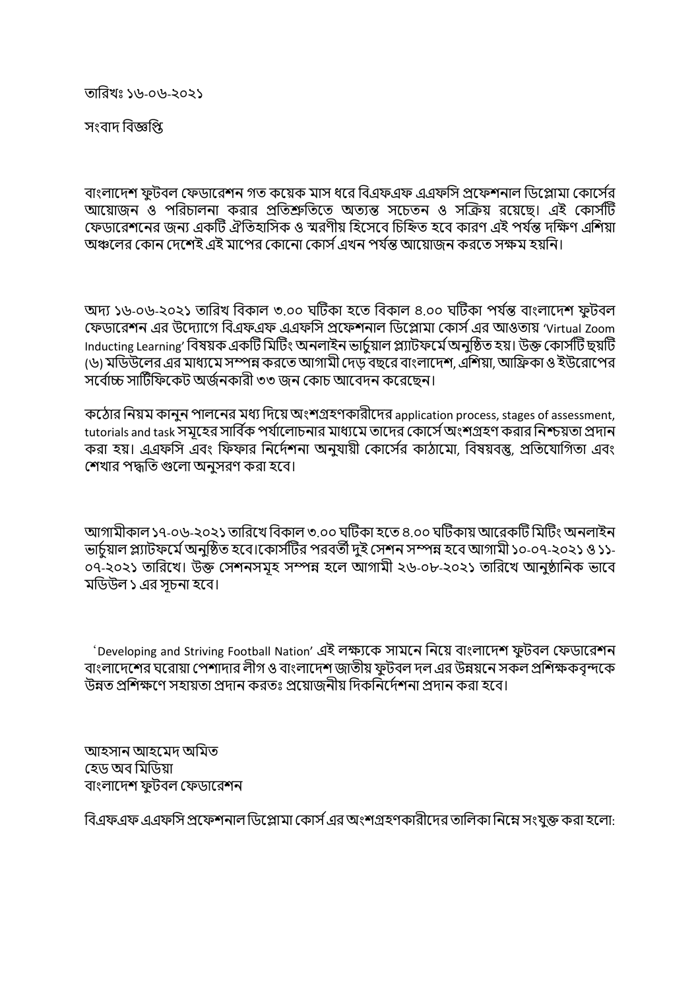তািরখঃ ১৬-০৬-২০২১

সংবাদ বিজ্ঞপি

বাংলাদেশ ফটবল ফেডারেশন গত কয়েক মাস ধরে বিএফএফ এএফসি প্রফেশনাল ডিপ্লোমা কোর্সের আয়োজন ও পরিচালনা করার প্রতিশ্রুতিতে অত্যন্ত সচেতন ও সক্রিয় রয়েছে। এই কোর্সটি ফেডারেশনের জন্য একটি ঐতিহাসিক ও স্মরণীয় হিসেবে চিহ্নিত হবে কারণ এই পর্যন্ত দক্ষিণ এশিয়া অঞ্চলের কোন দেশেই এই মাপের কোনো কোর্স এখন পর্যন্ত আয়োজন করতে সক্ষম হয়নি।

অদ্য ১৬-০৬-২০২১ তারিখ বিকাল ৩.০০ ঘটিকা হতে বিকাল ৪.০০ ঘটিকা পর্যন্ত বাংলাদেশ ফুটবল ফেডারেশন এর উদ্যোগে বিএফএফ এএফসি প্রফেশনাল ডিপ্লোমা কোর্স এর আওতায় 'Virtual Zoom Inducting Learning' বিষয়ক একটি মিটিং অনলাইন ভাৰ্চয়াল প্ল্যাটফৰ্মে অনুষ্ঠিত হয়। উক্ত কোৰ্সটি ছয়টি (৬) মডিউলের এর মাধ্যমে সম্পন্ন করতে আগামী দেড় বছরে বাংলাদেশ, এশিয়া, আফ্রিকা ও ইউরোপের সর্বোচ্চ সার্টিফিকেট অর্জনকারী ৩৩ জন কোচ আবেদন করেছেন।

কঠোর নিয়ম কানুন পালনের মধ্য দিয়ে অংশগ্রহণকারীদের application process, stages of assessment, tutorials and task সমূহের সার্বিক পর্যালােচনার মাধ্যমে তাদের কাের্সে অংশগ্রহণ করার নিশ্চয়তা প্রদান করা হয়। এএফসি এবং ফিফার নির্দেশনা অনুযায়ী কোর্সের কাঠামো, বিষয়বস্তু, প্রতিযোগিতা এবং শেখার পদ্ধতি গুলো অনসরণ করা হবে।

আগামীকাল ১৭-০৬-২০২১ তারিখে বিকাল ৩.০০ ঘটিকা হতে ৪.০০ ঘটিকায় আরেকটি মিটিং অনলাইন ভাচমাল প্ল্যাটফৰ্মে অনুষ্ঠিত হবে।কোর্সটির পরবর্তী দুই সেশন সম্পন্ন হবে আগামী ১০-০৭-২০২১ ও ১১-০৭-২০২১ তারিখে। উক্ত সেশনসমূহ সম্পন্ন হলে আগামী ২৬-০৮-২০২১ তারিখে আনুষ্ঠানিক ভাবে মডিউল ১ এর সচনা হবে।

'Developing and Striving Football Nation' এই লক্ষ্যকে সামনে নিয়ে বাংলাদেশ ফুটবল ফেডারেশন বাংলাদেশের ঘরোয়া পেশাদার লীগ ও বাংলাদেশ জাতীয় ফুটবল দল এর উন্নয়নে সকল প্রশিক্ষকবৃন্দকে উন্নত প্রশিক্ষণে সহায়তা প্রদান করতঃ প্রয়োজনীয় দিকনির্দেশনা প্রদান করা হবে।

আহসান আহেমদ অিমত হেড অব মিডিয়া বাংলাদেশ ফুটবল ফেডারেশন

বিএফএফ এএফসি প্রফেশনাল ডিপ্লোমা কোর্স এর অংশগ্রহণকারীদের তালিকা নিম্নে সংযুক্ত করা হলো: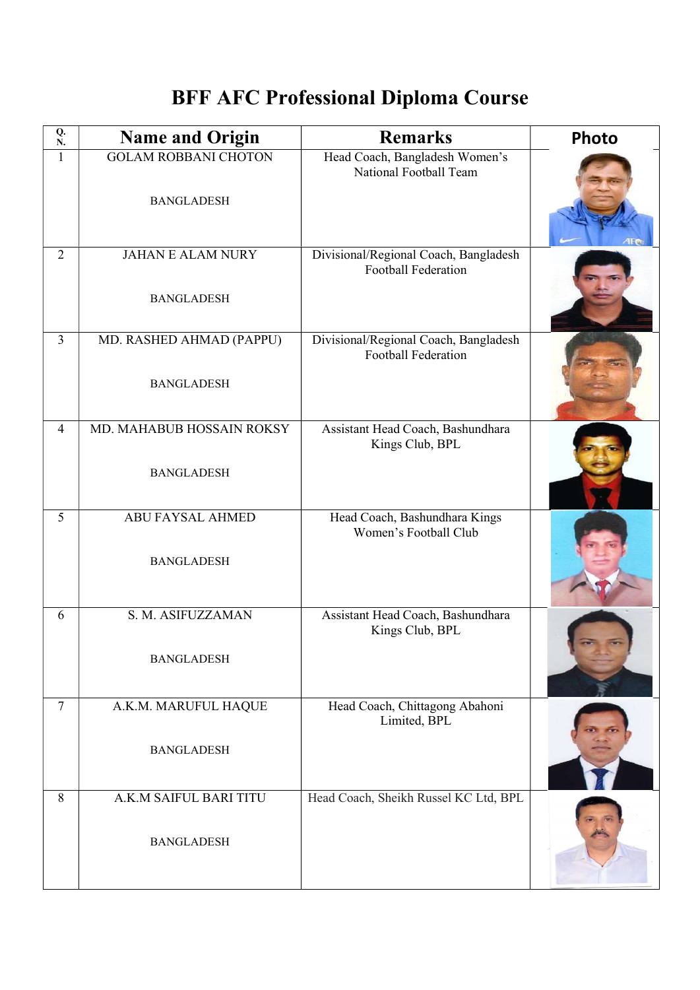## BFF AFC Professional Diploma Course

| Q.<br>${\bf N}.$ | <b>Name and Origin</b>                           | <b>Remarks</b>                                                      | <b>Photo</b> |
|------------------|--------------------------------------------------|---------------------------------------------------------------------|--------------|
| $\mathbf{1}$     | <b>GOLAM ROBBANI CHOTON</b><br><b>BANGLADESH</b> | Head Coach, Bangladesh Women's<br>National Football Team            |              |
| $\overline{2}$   | <b>JAHAN E ALAM NURY</b><br><b>BANGLADESH</b>    | Divisional/Regional Coach, Bangladesh<br><b>Football Federation</b> |              |
| $\overline{3}$   | MD. RASHED AHMAD (PAPPU)<br><b>BANGLADESH</b>    | Divisional/Regional Coach, Bangladesh<br><b>Football Federation</b> |              |
| $\overline{4}$   | MD. MAHABUB HOSSAIN ROKSY<br><b>BANGLADESH</b>   | Assistant Head Coach, Bashundhara<br>Kings Club, BPL                |              |
| 5                | <b>ABU FAYSAL AHMED</b><br><b>BANGLADESH</b>     | Head Coach, Bashundhara Kings<br>Women's Football Club              |              |
| 6                | S. M. ASIFUZZAMAN<br><b>BANGLADESH</b>           | Assistant Head Coach, Bashundhara<br>Kings Club, BPL                |              |
| 7                | A.K.M. MARUFUL HAQUE<br><b>BANGLADESH</b>        | Head Coach, Chittagong Abahoni<br>Limited, BPL                      |              |
| 8                | A.K.M SAIFUL BARI TITU<br><b>BANGLADESH</b>      | Head Coach, Sheikh Russel KC Ltd, BPL                               |              |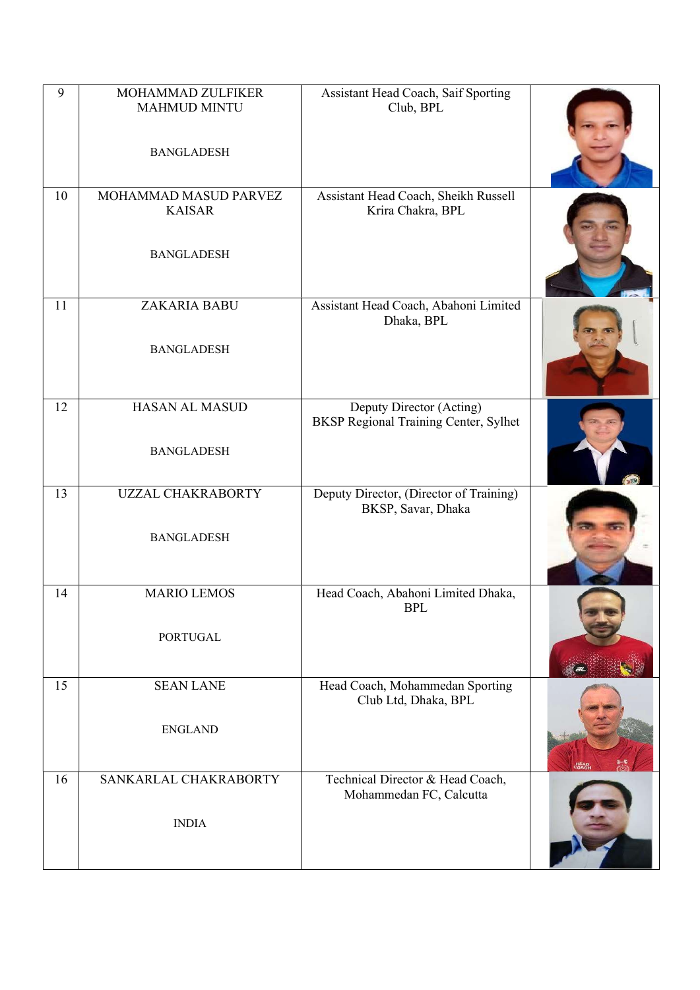| 9  | MOHAMMAD ZULFIKER<br><b>MAHMUD MINTU</b>      | Assistant Head Coach, Saif Sporting<br>Club, BPL                  |  |
|----|-----------------------------------------------|-------------------------------------------------------------------|--|
|    | <b>BANGLADESH</b>                             |                                                                   |  |
| 10 | MOHAMMAD MASUD PARVEZ<br><b>KAISAR</b>        | Assistant Head Coach, Sheikh Russell<br>Krira Chakra, BPL         |  |
|    | <b>BANGLADESH</b>                             |                                                                   |  |
| 11 | ZAKARIA BABU<br><b>BANGLADESH</b>             | Assistant Head Coach, Abahoni Limited<br>Dhaka, BPL               |  |
| 12 | <b>HASAN AL MASUD</b>                         | Deputy Director (Acting)<br>BKSP Regional Training Center, Sylhet |  |
|    | <b>BANGLADESH</b>                             |                                                                   |  |
| 13 | <b>UZZAL CHAKRABORTY</b><br><b>BANGLADESH</b> | Deputy Director, (Director of Training)<br>BKSP, Savar, Dhaka     |  |
|    |                                               |                                                                   |  |
| 14 | <b>MARIO LEMOS</b>                            | Head Coach, Abahoni Limited Dhaka,<br><b>BPL</b>                  |  |
|    | <b>PORTUGAL</b>                               |                                                                   |  |
| 15 | <b>SEAN LANE</b>                              | Head Coach, Mohammedan Sporting<br>Club Ltd, Dhaka, BPL           |  |
|    | <b>ENGLAND</b>                                |                                                                   |  |
| 16 | SANKARLAL CHAKRABORTY                         | Technical Director & Head Coach,<br>Mohammedan FC, Calcutta       |  |
|    | <b>INDIA</b>                                  |                                                                   |  |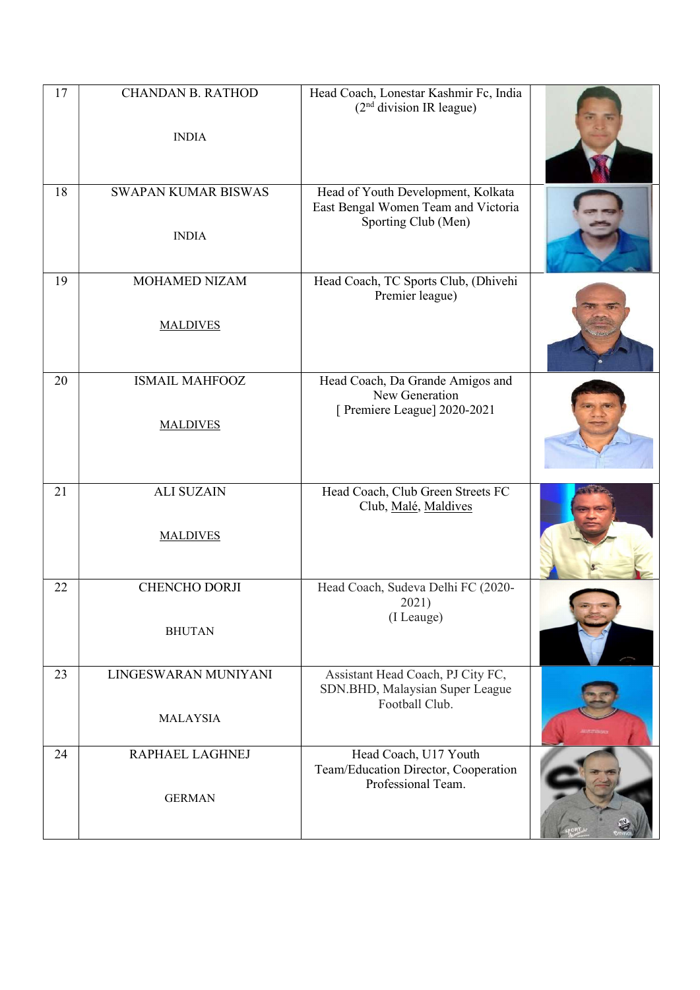| 17 | <b>CHANDAN B. RATHOD</b><br><b>INDIA</b>   | Head Coach, Lonestar Kashmir Fc, India<br>(2 <sup>nd</sup> division IR league)                   |  |
|----|--------------------------------------------|--------------------------------------------------------------------------------------------------|--|
| 18 | <b>SWAPAN KUMAR BISWAS</b><br><b>INDIA</b> | Head of Youth Development, Kolkata<br>East Bengal Women Team and Victoria<br>Sporting Club (Men) |  |
| 19 | <b>MOHAMED NIZAM</b><br><b>MALDIVES</b>    | Head Coach, TC Sports Club, (Dhivehi<br>Premier league)                                          |  |
| 20 | <b>ISMAIL MAHFOOZ</b><br><b>MALDIVES</b>   | Head Coach, Da Grande Amigos and<br>New Generation<br>[ Premiere League] 2020-2021               |  |
| 21 | <b>ALI SUZAIN</b><br><b>MALDIVES</b>       | Head Coach, Club Green Streets FC<br>Club, Malé, Maldives                                        |  |
| 22 | <b>CHENCHO DORJI</b><br><b>BHUTAN</b>      | Head Coach, Sudeva Delhi FC (2020-<br>2021)<br>(I Leauge)                                        |  |
| 23 | LINGESWARAN MUNIYANI<br><b>MALAYSIA</b>    | Assistant Head Coach, PJ City FC,<br>SDN.BHD, Malaysian Super League<br>Football Club.           |  |
| 24 | RAPHAEL LAGHNEJ<br><b>GERMAN</b>           | Head Coach, U17 Youth<br>Team/Education Director, Cooperation<br>Professional Team.              |  |